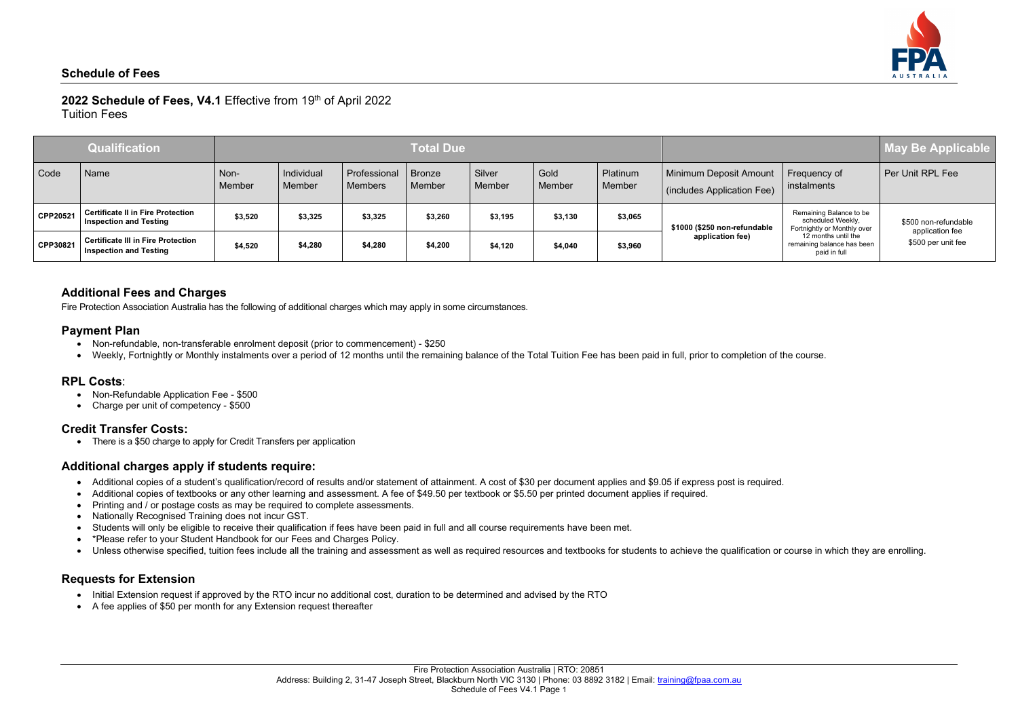# 2022 Schedule of Fees, V4.1 Effective from 19th of April 2022



Tuition Fees

- Non-refundable, non-transferable enrolment deposit (prior to commencement) \$250
- Weekly, Fortnightly or Monthly instalments over a period of 12 months until the remaining balance of the Total Tuition Fee has been paid in full, prior to completion of the course.

|          | <b>Qualification</b>                                                       | <b>Total Due</b> |                      |                                |                  |                  |                |                    |                                                             |                                                                                                                                                  | May Be Applicable                                             |
|----------|----------------------------------------------------------------------------|------------------|----------------------|--------------------------------|------------------|------------------|----------------|--------------------|-------------------------------------------------------------|--------------------------------------------------------------------------------------------------------------------------------------------------|---------------------------------------------------------------|
| Code     | Name                                                                       | Non-<br>Member   | Individual<br>Member | Professional<br><b>Members</b> | Bronze<br>Member | Silver<br>Member | Gold<br>Member | Platinum<br>Member | <b>Minimum Deposit Amount</b><br>(includes Application Fee) | Frequency of<br>instalments                                                                                                                      | Per Unit RPL Fee                                              |
| CPP20521 | <b>Certificate II in Fire Protection</b><br><b>Inspection and Testing</b>  | \$3,520          | \$3,325              | \$3,325                        | \$3,260          | \$3,195          | \$3,130        | \$3,065            | \$1000 (\$250 non-refundable<br>application fee)            | Remaining Balance to be<br>scheduled Weekly,<br>Fortnightly or Monthly over<br>12 months until the<br>remaining balance has been<br>paid in full | \$500 non-refundable<br>application fee<br>\$500 per unit fee |
| CPP30821 | <b>Certificate III in Fire Protection</b><br><b>Inspection and Testing</b> | \$4,520          | \$4,280              | \$4,280                        | \$4,200          | \$4,120          | \$4,040        | \$3,960            |                                                             |                                                                                                                                                  |                                                               |

### **Additional Fees and Charges**

Fire Protection Association Australia has the following of additional charges which may apply in some circumstances.

#### **Payment Plan**

### **RPL Costs**:

- Non-Refundable Application Fee \$500
- Charge per unit of competency \$500

### **Credit Transfer Costs:**

• There is a \$50 charge to apply for Credit Transfers per application

### **Additional charges apply if students require:**

- Additional copies of a student's qualification/record of results and/or statement of attainment. A cost of \$30 per document applies and \$9.05 if express post is required.
- Additional copies of textbooks or any other learning and assessment. A fee of \$49.50 per textbook or \$5.50 per printed document applies if required.
- Printing and / or postage costs as may be required to complete assessments.
- Nationally Recognised Training does not incur GST.
- Students will only be eligible to receive their qualification if fees have been paid in full and all course requirements have been met.
- \*Please refer to your Student Handbook for our Fees and Charges Policy.
- Unless otherwise specified, tuition fees include all the training and assessment as well as required resources and textbooks for students to achieve the qualification or course in which they are enrolling.

### **Requests for Extension**

- Initial Extension request if approved by the RTO incur no additional cost, duration to be determined and advised by the RTO
- A fee applies of \$50 per month for any Extension request thereafter